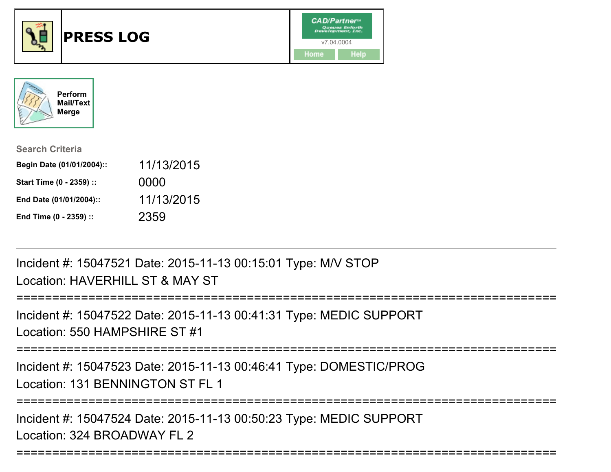



| <b>Search Criteria</b>    |            |
|---------------------------|------------|
| Begin Date (01/01/2004):: | 11/13/2015 |
| Start Time (0 - 2359) ::  | 0000       |
| End Date (01/01/2004)::   | 11/13/2015 |
| End Time (0 - 2359) ::    | 2359       |

Incident #: 15047521 Date: 2015-11-13 00:15:01 Type: M/V STOPLocation: HAVERHILL ST & MAY ST

```
===============
Incident #: 15047522 Date: 2015-11-13 00:41:31 Type: MEDIC SUPPORT
```

```
Location: 550 HAMPSHIRE ST #1
```

```
===========================================================================
```
Incident #: 15047523 Date: 2015-11-13 00:46:41 Type: DOMESTIC/PROGLocation: 131 BENNINGTON ST FL 1

```
===========================================================================
```
Incident #: 15047524 Date: 2015-11-13 00:50:23 Type: MEDIC SUPPORTLocation: 324 BROADWAY FL 2

```
===========================================================================
```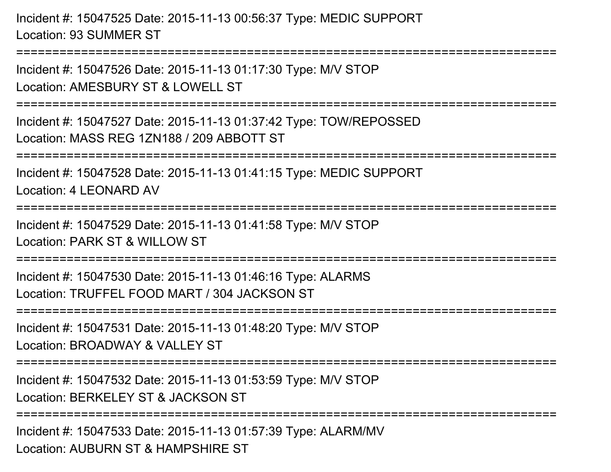Incident #: 15047525 Date: 2015-11-13 00:56:37 Type: MEDIC SUPPORTLocation: 93 SUMMER ST

Incident #: 15047526 Date: 2015-11-13 01:17:30 Type: M/V STOPLocation: AMESBURY ST & LOWELL ST

===========================================================================

===========================================================================

Incident #: 15047527 Date: 2015-11-13 01:37:42 Type: TOW/REPOSSEDLocation: MASS REG 1ZN188 / 209 ABBOTT ST

===========================================================================

Incident #: 15047528 Date: 2015-11-13 01:41:15 Type: MEDIC SUPPORT

Location: 4 LEONARD AV

===========================================================================

Incident #: 15047529 Date: 2015-11-13 01:41:58 Type: M/V STOPLocation: PARK ST & WILLOW ST

===========================================================================

Incident #: 15047530 Date: 2015-11-13 01:46:16 Type: ALARMSLocation: TRUFFEL FOOD MART / 304 JACKSON ST

===========================================================================

Incident #: 15047531 Date: 2015-11-13 01:48:20 Type: M/V STOP

Location: BROADWAY & VALLEY ST

===========================================================================

Incident #: 15047532 Date: 2015-11-13 01:53:59 Type: M/V STOP

Location: BERKELEY ST & JACKSON ST

===========================================================================

Incident #: 15047533 Date: 2015-11-13 01:57:39 Type: ALARM/MVLocation: AUBURN ST & HAMPSHIRE ST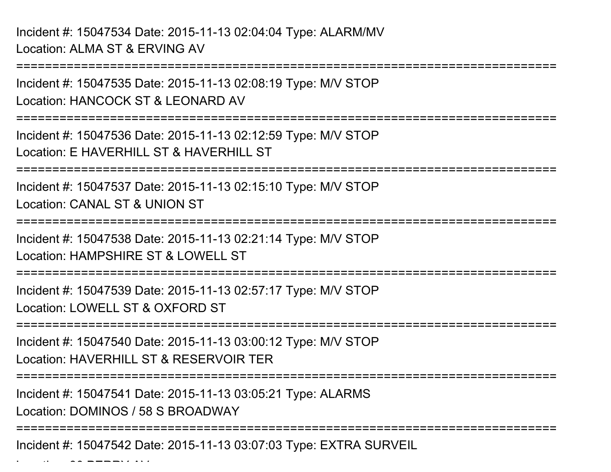Incident #: 15047534 Date: 2015-11-13 02:04:04 Type: ALARM/MVLocation: ALMA ST & ERVING AV

 $\mathcal{L}$   $\mathcal{L}$   $\mathcal{L}$   $\mathcal{L}$   $\mathcal{L}$   $\mathcal{L}$   $\mathcal{L}$   $\mathcal{L}$   $\mathcal{L}$   $\mathcal{L}$   $\mathcal{L}$   $\mathcal{L}$   $\mathcal{L}$   $\mathcal{L}$   $\mathcal{L}$   $\mathcal{L}$   $\mathcal{L}$   $\mathcal{L}$   $\mathcal{L}$   $\mathcal{L}$   $\mathcal{L}$   $\mathcal{L}$   $\mathcal{L}$   $\mathcal{L}$   $\mathcal{$ 

===========================================================================Incident #: 15047535 Date: 2015-11-13 02:08:19 Type: M/V STOPLocation: HANCOCK ST & LEONARD AV===========================================================================Incident #: 15047536 Date: 2015-11-13 02:12:59 Type: M/V STOPLocation: F HAVERHILL ST & HAVERHILL ST ========================= Incident #: 15047537 Date: 2015-11-13 02:15:10 Type: M/V STOPLocation: CANAL ST & UNION ST===========================================================================Incident #: 15047538 Date: 2015-11-13 02:21:14 Type: M/V STOPLocation: HAMPSHIRF ST & LOWELL ST ===========================================================================Incident #: 15047539 Date: 2015-11-13 02:57:17 Type: M/V STOPLocation: LOWELL ST & OXFORD ST===========================================================================Incident #: 15047540 Date: 2015-11-13 03:00:12 Type: M/V STOPLocation: HAVERHILL ST & RESERVOIR TER ===========================================================================Incident #: 15047541 Date: 2015-11-13 03:05:21 Type: ALARMSLocation: DOMINOS / 58 S BROADWAY===========================================================================Incident #: 15047542 Date: 2015-11-13 03:07:03 Type: EXTRA SURVEIL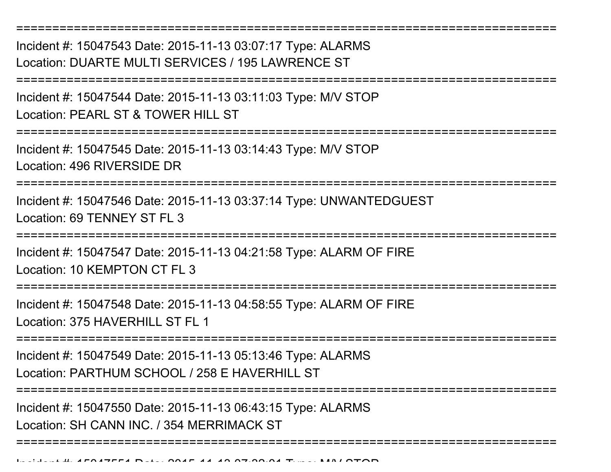===========================================================================Incident #: 15047543 Date: 2015-11-13 03:07:17 Type: ALARMSLocation: DUARTE MULTI SERVICES / 195 LAWRENCE ST===========================================================================Incident #: 15047544 Date: 2015-11-13 03:11:03 Type: M/V STOPLocation: PEARL ST & TOWER HILL ST ===========================================================================Incident #: 15047545 Date: 2015-11-13 03:14:43 Type: M/V STOPLocation: 496 RIVERSIDE DR===========================================================================Incident #: 15047546 Date: 2015-11-13 03:37:14 Type: UNWANTEDGUESTLocation: 69 TENNEY ST FL 3 ===========================================================================Incident #: 15047547 Date: 2015-11-13 04:21:58 Type: ALARM OF FIRELocation: 10 KEMPTON CT FL 3 ===========================================================================Incident #: 15047548 Date: 2015-11-13 04:58:55 Type: ALARM OF FIRELocation: 375 HAVERHILL ST FL 1 ===========================================================================Incident #: 15047549 Date: 2015-11-13 05:13:46 Type: ALARMSLocation: PARTHUM SCHOOL / 258 E HAVERHILL ST===========================================================================Incident #: 15047550 Date: 2015-11-13 06:43:15 Type: ALARMSLocation: SH CANN INC. / 354 MERRIMACK ST===========================================================================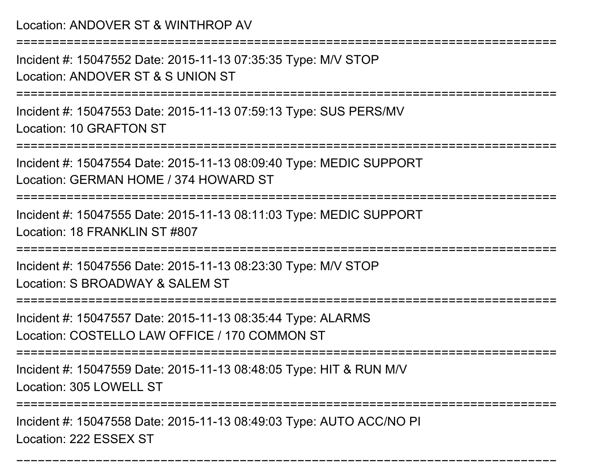Location: ANDOVER ST & WINTHROP AV

===========================================================================

Incident #: 15047552 Date: 2015-11-13 07:35:35 Type: M/V STOPLocation: ANDOVER ST & S UNION ST

===========================================================================

Incident #: 15047553 Date: 2015-11-13 07:59:13 Type: SUS PERS/MVLocation: 10 GRAFTON ST

===========================================================================

Incident #: 15047554 Date: 2015-11-13 08:09:40 Type: MEDIC SUPPORTLocation: GERMAN HOME / 374 HOWARD ST

===========================================================================

Incident #: 15047555 Date: 2015-11-13 08:11:03 Type: MEDIC SUPPORTLocation: 18 FRANKLIN ST #807

===========================================================================

Incident #: 15047556 Date: 2015-11-13 08:23:30 Type: M/V STOP

Location: S BROADWAY & SALEM ST

===========================================================================

Incident #: 15047557 Date: 2015-11-13 08:35:44 Type: ALARMSLocation: COSTELLO LAW OFFICE / 170 COMMON ST

===========================================================================

Incident #: 15047559 Date: 2015-11-13 08:48:05 Type: HIT & RUN M/V

Location: 305 LOWELL ST

===========================================================================

===========================================================================

Incident #: 15047558 Date: 2015-11-13 08:49:03 Type: AUTO ACC/NO PILocation: 222 ESSEX ST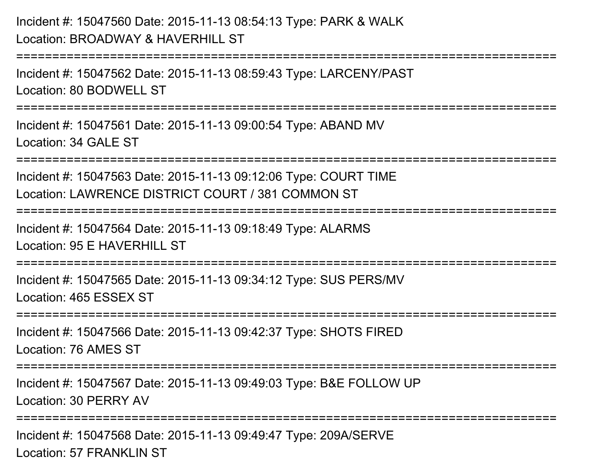```
Incident #: 15047560 Date: 2015-11-13 08:54:13 Type: PARK & WALKLocation: BROADWAY & HAVERHILL ST===========================================================================Incident #: 15047562 Date: 2015-11-13 08:59:43 Type: LARCENY/PASTLocation: 80 BODWELL ST===========================================================================Incident #: 15047561 Date: 2015-11-13 09:00:54 Type: ABAND MVLocation: 34 GALE ST===========================================================================Incident #: 15047563 Date: 2015-11-13 09:12:06 Type: COURT TIMELocation: LAWRENCE DISTRICT COURT / 381 COMMON ST===========================================================================Incident #: 15047564 Date: 2015-11-13 09:18:49 Type: ALARMSLocation: 95 F HAVERHILL ST
   ===========================================================================Incident #: 15047565 Date: 2015-11-13 09:34:12 Type: SUS PERS/MVLocation: 465 ESSEX ST===========================================================================Incident #: 15047566 Date: 2015-11-13 09:42:37 Type: SHOTS FIRED
```
Location: 76 AMES ST

=======================

Incident #: 15047567 Date: 2015-11-13 09:49:03 Type: B&E FOLLOW UPLocation: 30 PERRY AV

===========================================================================

Incident #: 15047568 Date: 2015-11-13 09:49:47 Type: 209A/SERVELocation: 57 FRANKLIN ST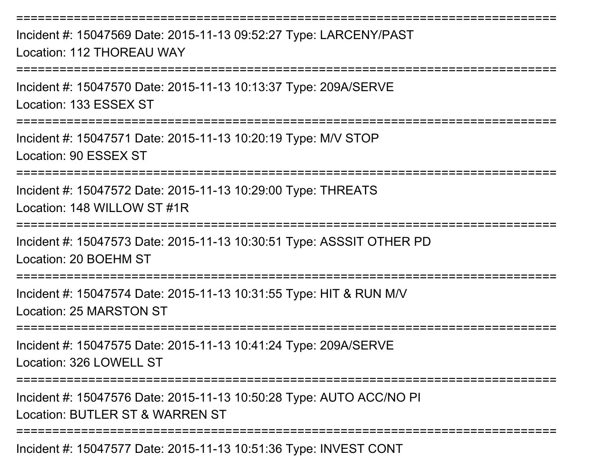Incident #: 15047569 Date: 2015-11-13 09:52:27 Type: LARCENY/PASTLocation: 112 THOREAU WAY===========================================================================Incident #: 15047570 Date: 2015-11-13 10:13:37 Type: 209A/SERVELocation: 133 ESSEX ST===========================================================================Incident #: 15047571 Date: 2015-11-13 10:20:19 Type: M/V STOPLocation: 90 ESSEX ST===========================================================================Incident #: 15047572 Date: 2015-11-13 10:29:00 Type: THREATSLocation: 148 WILLOW ST #1R===========================================================================Incident #: 15047573 Date: 2015-11-13 10:30:51 Type: ASSSIT OTHER PDLocation: 20 BOEHM ST===========================================================================Incident #: 15047574 Date: 2015-11-13 10:31:55 Type: HIT & RUN M/VLocation: 25 MARSTON ST===========================================================================Incident #: 15047575 Date: 2015-11-13 10:41:24 Type: 209A/SERVELocation: 326 LOWELL ST ===========================================================================Incident #: 15047576 Date: 2015-11-13 10:50:28 Type: AUTO ACC/NO PILocation: BUTLER ST & WARREN ST ===========================================================================Incident #: 15047577 Date: 2015-11-13 10:51:36 Type: INVEST CONT

===========================================================================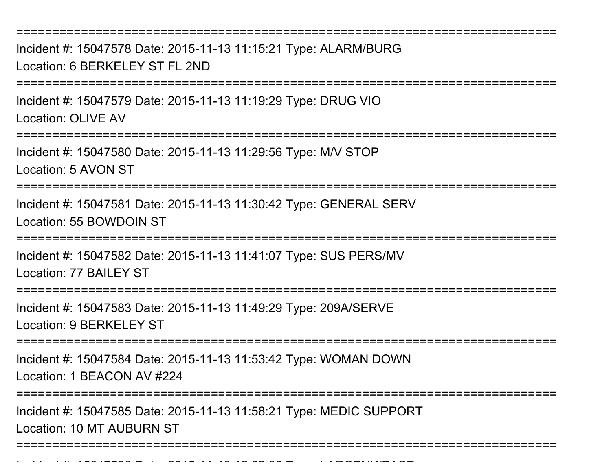===========================================================================

Incident #: 15047578 Date: 2015-11-13 11:15:21 Type: ALARM/BURGLocation: 6 BERKELEY ST FL 2ND

===========================================================================

Incident #: 15047579 Date: 2015-11-13 11:19:29 Type: DRUG VIOLocation: OLIVE AV

===========================================================================

Incident #: 15047580 Date: 2015-11-13 11:29:56 Type: M/V STOP

Location: 5 AVON ST

===========================================================================

Incident #: 15047581 Date: 2015-11-13 11:30:42 Type: GENERAL SERVLocation: 55 BOWDOIN ST

===========================================================================

Incident #: 15047582 Date: 2015-11-13 11:41:07 Type: SUS PERS/MVLocation: 77 BAILEY ST

===========================================================================

Incident #: 15047583 Date: 2015-11-13 11:49:29 Type: 209A/SERVELocation: 9 BERKELEY ST

**===================** 

Incident #: 15047584 Date: 2015-11-13 11:53:42 Type: WOMAN DOWN

Location: 1 BEACON AV #224

Incident #: 15047586 Date: 2015

==============================

Incident #: 15047585 Date: 2015-11-13 11:58:21 Type: MEDIC SUPPORTLocation: 10 MT AUBURN ST

===========================================================================

- *11 12 12 22 22* = LARCENY *D*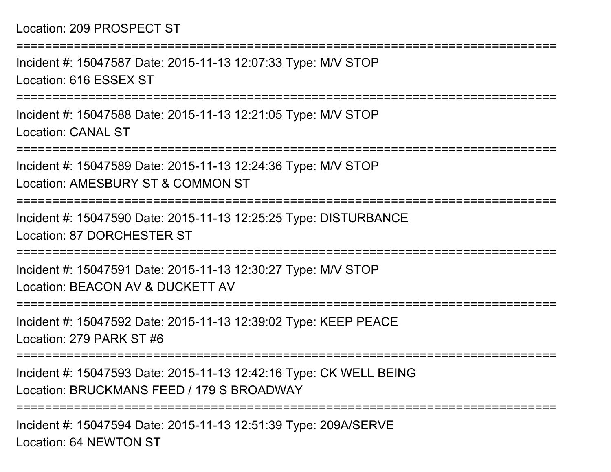## Location: 209 PROSPECT ST

Incident #: 15047587 Date: 2015-11-13 12:07:33 Type: M/V STOPLocation: 616 ESSEX ST

===========================================================================

===========================================================================

Incident #: 15047588 Date: 2015-11-13 12:21:05 Type: M/V STOPLocation: CANAL ST

===========================================================================

Incident #: 15047589 Date: 2015-11-13 12:24:36 Type: M/V STOPLocation: AMESBURY ST & COMMON ST

===========================================================================

Incident #: 15047590 Date: 2015-11-13 12:25:25 Type: DISTURBANCELocation: 87 DORCHESTER ST

===========================================================================

Incident #: 15047591 Date: 2015-11-13 12:30:27 Type: M/V STOPLocation: BEACON AV & DUCKETT AV

===========================================================================

Incident #: 15047592 Date: 2015-11-13 12:39:02 Type: KEEP PEACELocation: 279 PARK ST #6

====================

===========================================================================

Incident #: 15047593 Date: 2015-11-13 12:42:16 Type: CK WELL BEINGLocation: BRUCKMANS FEED / 179 S BROADWAY

Incident #: 15047594 Date: 2015-11-13 12:51:39 Type: 209A/SERVELocation: 64 NEWTON ST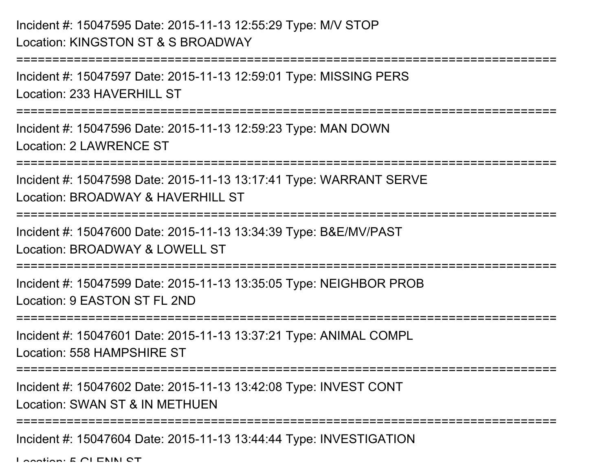## Incident #: 15047595 Date: 2015-11-13 12:55:29 Type: M/V STOPLocation: KINGSTON ST & S BROADWAY

```
===========================================================================Incident #: 15047597 Date: 2015-11-13 12:59:01 Type: MISSING PERSLocation: 233 HAVERHILL ST
  ===========================================================================Incident #: 15047596 Date: 2015-11-13 12:59:23 Type: MAN DOWNLocation: 2 LAWRENCE ST===========================================================================Incident #: 15047598 Date: 2015-11-13 13:17:41 Type: WARRANT SERVELocation: BROADWAY & HAVERHILL ST===========================================================================Incident #: 15047600 Date: 2015-11-13 13:34:39 Type: B&E/MV/PASTLocation: BROADWAY & LOWELL ST===========================================================================Incident #: 15047599 Date: 2015-11-13 13:35:05 Type: NEIGHBOR PROBLocation: 9 EASTON ST FL 2ND===========================================================================Incident #: 15047601 Date: 2015-11-13 13:37:21 Type: ANIMAL COMPLLocation: 558 HAMPSHIRE ST===========================================================================Incident #: 15047602 Date: 2015-11-13 13:42:08 Type: INVEST CONTLocation: SWAN ST & IN METHUEN
===========================================================================Incident #: 15047604 Date: 2015-11-13 13:44:44 Type: INVESTIGATION
```
 $L$ ocation:  $E \cap L$  CNINI CT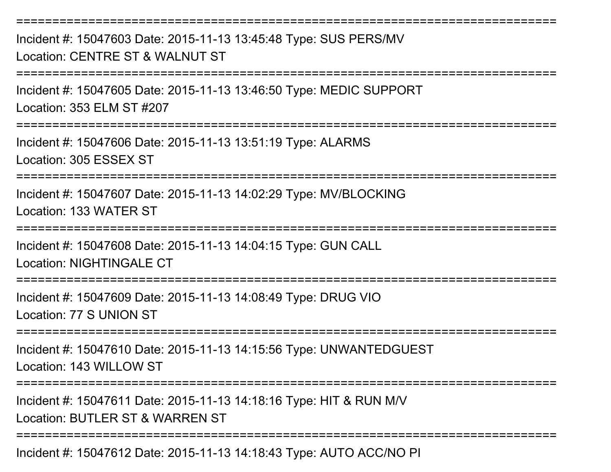===========================================================================Incident #: 15047603 Date: 2015-11-13 13:45:48 Type: SUS PERS/MVLocation: CENTRE ST & WALNUT ST===========================================================================Incident #: 15047605 Date: 2015-11-13 13:46:50 Type: MEDIC SUPPORTLocation: 353 ELM ST #207===========================================================================Incident #: 15047606 Date: 2015-11-13 13:51:19 Type: ALARMSLocation: 305 ESSEX ST===========================================================================Incident #: 15047607 Date: 2015-11-13 14:02:29 Type: MV/BLOCKINGLocation: 133 WATER ST===========================================================================Incident #: 15047608 Date: 2015-11-13 14:04:15 Type: GUN CALLLocation: NIGHTINGALE CT===========================================================================Incident #: 15047609 Date: 2015-11-13 14:08:49 Type: DRUG VIOLocation: 77 S UNION ST===========================================================================Incident #: 15047610 Date: 2015-11-13 14:15:56 Type: UNWANTEDGUESTLocation: 143 WILLOW ST===========================================================================Incident #: 15047611 Date: 2015-11-13 14:18:16 Type: HIT & RUN M/VLocation: BUTLER ST & WARREN ST ===========================================================================

Incident #: 15047612 Date: 2015-11-13 14:18:43 Type: AUTO ACC/NO PI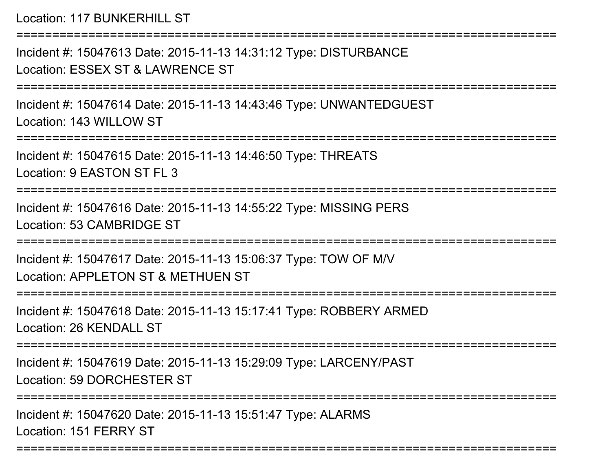Location: 117 BUNKERHILL ST===========================================================================Incident #: 15047613 Date: 2015-11-13 14:31:12 Type: DISTURBANCELocation: ESSEX ST & LAWRENCE ST===========================================================================Incident #: 15047614 Date: 2015-11-13 14:43:46 Type: UNWANTEDGUESTLocation: 143 WILLOW ST===========================================================================Incident #: 15047615 Date: 2015-11-13 14:46:50 Type: THREATSLocation: 9 EASTON ST FL 3===========================================================================Incident #: 15047616 Date: 2015-11-13 14:55:22 Type: MISSING PERSLocation: 53 CAMBRIDGE ST===========================================================================Incident #: 15047617 Date: 2015-11-13 15:06:37 Type: TOW OF M/VLocation: APPLETON ST & METHUEN ST===========================================================================Incident #: 15047618 Date: 2015-11-13 15:17:41 Type: ROBBERY ARMEDLocation: 26 KENDALL ST ===========================================================================Incident #: 15047619 Date: 2015-11-13 15:29:09 Type: LARCENY/PASTLocation: 59 DORCHESTER ST===========================================================================Incident #: 15047620 Date: 2015-11-13 15:51:47 Type: ALARMSLocation: 151 FERRY ST

===========================================================================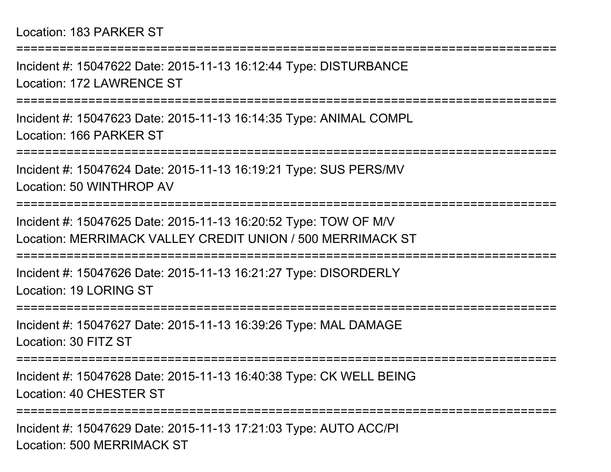Incident #: 15047622 Date: 2015-11-13 16:12:44 Type: DISTURBANCELocation: 172 LAWRENCE ST

===========================================================================

===========================================================================

Incident #: 15047623 Date: 2015-11-13 16:14:35 Type: ANIMAL COMPLLocation: 166 PARKER ST

===========================================================================

Incident #: 15047624 Date: 2015-11-13 16:19:21 Type: SUS PERS/MVLocation: 50 WINTHROP AV

===========================================================================

Incident #: 15047625 Date: 2015-11-13 16:20:52 Type: TOW OF M/VLocation: MERRIMACK VALLEY CREDIT UNION / 500 MERRIMACK ST

===========================================================================

Incident #: 15047626 Date: 2015-11-13 16:21:27 Type: DISORDERLYLocation: 19 LORING ST

===========================================================================

Incident #: 15047627 Date: 2015-11-13 16:39:26 Type: MAL DAMAGELocation: 30 FITZ ST

===========================================================================

Incident #: 15047628 Date: 2015-11-13 16:40:38 Type: CK WELL BEINGLocation: 40 CHESTER ST

===========================================================================

Incident #: 15047629 Date: 2015-11-13 17:21:03 Type: AUTO ACC/PILocation: 500 MERRIMACK ST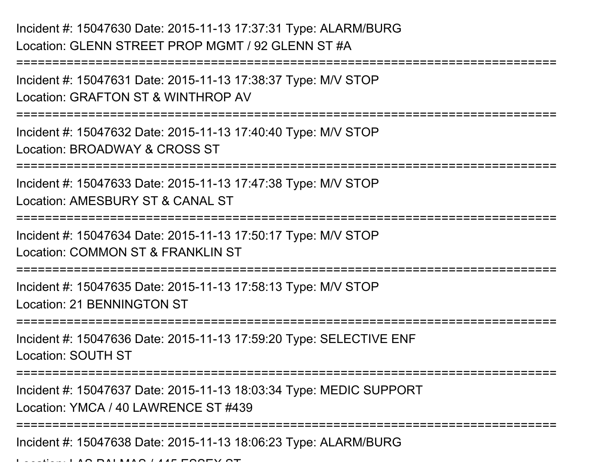Incident #: 15047630 Date: 2015-11-13 17:37:31 Type: ALARM/BURGLocation: GLENN STREET PROP MGMT / 92 GLENN ST #A

```

===========================================================================Incident #: 15047631 Date: 2015-11-13 17:38:37 Type: M/V STOPLocation: GRAFTON ST & WINTHROP AV===========================================================================Incident #: 15047632 Date: 2015-11-13 17:40:40 Type: M/V STOPLocation: BROADWAY & CROSS ST=========================
Incident #: 15047633 Date: 2015-11-13 17:47:38 Type: M/V STOPLocation: AMESBURY ST & CANAL ST===========================================================================Incident #: 15047634 Date: 2015-11-13 17:50:17 Type: M/V STOPLocation: COMMON ST & FRANKLIN ST
===========================================================================Incident #: 15047635 Date: 2015-11-13 17:58:13 Type: M/V STOPLocation: 21 BENNINGTON ST===========================================================================Incident #: 15047636 Date: 2015-11-13 17:59:20 Type: SELECTIVE ENFLocation: SOUTH ST===========================================================================Incident #: 15047637 Date: 2015-11-13 18:03:34 Type: MEDIC SUPPORTLocation: YMCA / 40 LAWRENCE ST #439===========================================================================Incident #: 15047638 Date: 2015-11-13 18:06:23 Type: ALARM/BURG
```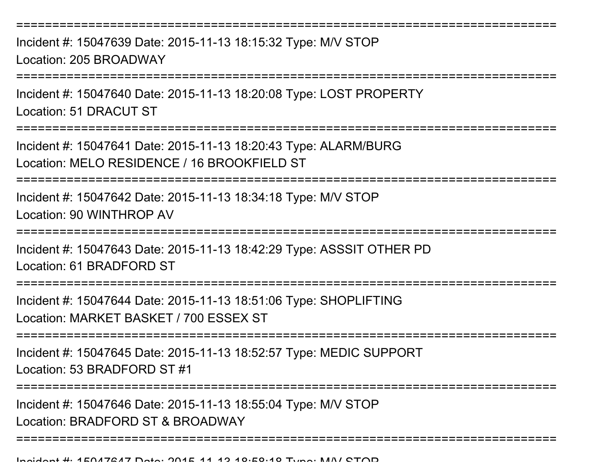===========================================================================Incident #: 15047639 Date: 2015-11-13 18:15:32 Type: M/V STOPLocation: 205 BROADWAY ===========================================================================Incident #: 15047640 Date: 2015-11-13 18:20:08 Type: LOST PROPERTYLocation: 51 DRACUT ST===========================================================================Incident #: 15047641 Date: 2015-11-13 18:20:43 Type: ALARM/BURGLocation: MELO RESIDENCE / 16 BROOKFIELD ST===========================================================================

Incident #: 15047642 Date: 2015-11-13 18:34:18 Type: M/V STOPLocation: 90 WINTHROP AV

=======================

Incident #: 15047643 Date: 2015-11-13 18:42:29 Type: ASSSIT OTHER PDLocation: 61 BRADFORD ST

======================

Incident #: 15047644 Date: 2015-11-13 18:51:06 Type: SHOPLIFTINGLocation: MARKET BASKET / 700 ESSEX ST

===========================================================================

Incident #: 15047645 Date: 2015-11-13 18:52:57 Type: MEDIC SUPPORTLocation: 53 BRADFORD ST #1

===========================================================================

===========================================================================

Incident #: 15047646 Date: 2015-11-13 18:55:04 Type: M/V STOP

Location: BRADFORD ST & BROADWAY

Incident #: 15017617 Date: 2015 11 12 10:50:10 Tune: MAI CTOD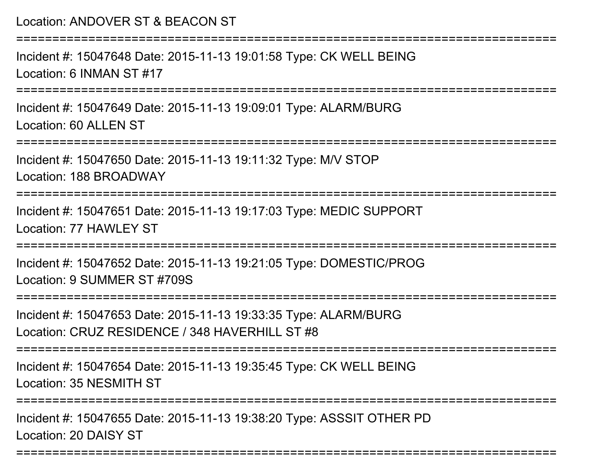===========================================================================Incident #: 15047648 Date: 2015-11-13 19:01:58 Type: CK WELL BEINGLocation: 6 INMAN ST #17===========================================================================Incident #: 15047649 Date: 2015-11-13 19:09:01 Type: ALARM/BURGLocation: 60 ALLEN ST===========================================================================Incident #: 15047650 Date: 2015-11-13 19:11:32 Type: M/V STOPLocation: 188 BROADWAY===========================================================================Incident #: 15047651 Date: 2015-11-13 19:17:03 Type: MEDIC SUPPORTLocation: 77 HAWLEY ST===========================================================================Incident #: 15047652 Date: 2015-11-13 19:21:05 Type: DOMESTIC/PROGLocation: 9 SUMMER ST #709S===========================================================================Incident #: 15047653 Date: 2015-11-13 19:33:35 Type: ALARM/BURGLocation: CRUZ RESIDENCE / 348 HAVERHILL ST #8 ===========================================================================Incident #: 15047654 Date: 2015-11-13 19:35:45 Type: CK WELL BEINGLocation: 35 NESMITH ST===========================================================================Incident #: 15047655 Date: 2015-11-13 19:38:20 Type: ASSSIT OTHER PDLocation: 20 DAISY ST

===========================================================================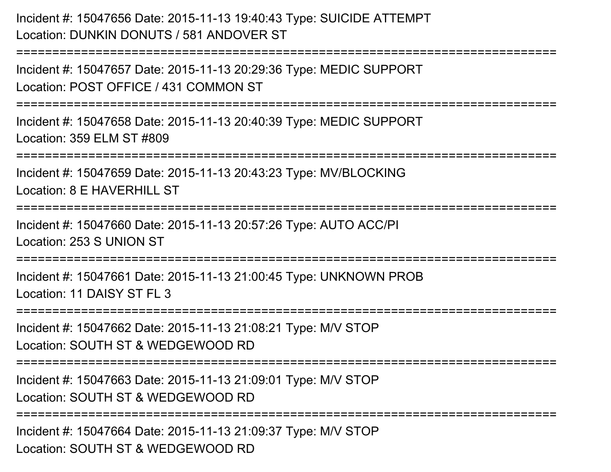Incident #: 15047656 Date: 2015-11-13 19:40:43 Type: SUICIDE ATTEMPTLocation: DUNKIN DONUTS / 581 ANDOVER ST

Incident #: 15047657 Date: 2015-11-13 20:29:36 Type: MEDIC SUPPORTLocation: POST OFFICE / 431 COMMON ST

===========================================================================

===========================================================================

Incident #: 15047658 Date: 2015-11-13 20:40:39 Type: MEDIC SUPPORTLocation: 359 ELM ST #809

===========================================================================

Incident #: 15047659 Date: 2015-11-13 20:43:23 Type: MV/BLOCKING

Location: 8 F HAVERHILL ST

============================

Incident #: 15047660 Date: 2015-11-13 20:57:26 Type: AUTO ACC/PILocation: 253 S UNION ST

===========================================================================

Incident #: 15047661 Date: 2015-11-13 21:00:45 Type: UNKNOWN PROBLocation: 11 DAISY ST FL 3

===========================================================================

Incident #: 15047662 Date: 2015-11-13 21:08:21 Type: M/V STOP

Location: SOUTH ST & WEDGEWOOD RD

===========================================================================

Incident #: 15047663 Date: 2015-11-13 21:09:01 Type: M/V STOPLocation: SOUTH ST & WEDGEWOOD RD

===========================================================================

Incident #: 15047664 Date: 2015-11-13 21:09:37 Type: M/V STOPLocation: SOUTH ST & WEDGEWOOD RD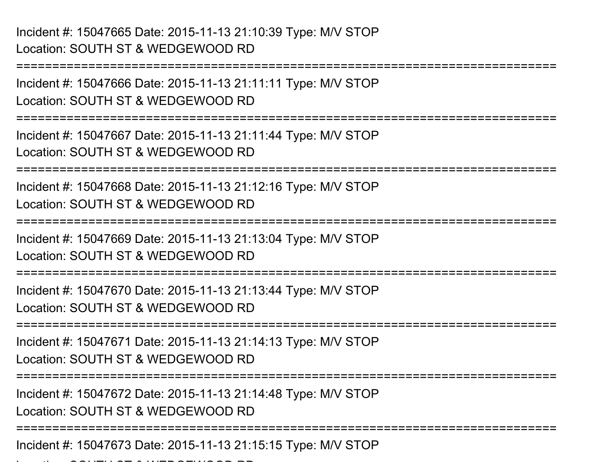```
===========================================================================Incident #: 15047666 Date: 2015-11-13 21:11:11 Type: M/V STOPLocation: SOUTH ST & WEDGEWOOD RD===========================================================================Incident #: 15047667 Date: 2015-11-13 21:11:44 Type: M/V STOPLocation: SOUTH ST & WEDGEWOOD RD===========================================================================Incident #: 15047668 Date: 2015-11-13 21:12:16 Type: M/V STOPLocation: SOUTH ST & WEDGEWOOD RD===========================================================================Incident #: 15047669 Date: 2015-11-13 21:13:04 Type: M/V STOPLocation: SOUTH ST & WEDGEWOOD RD
===========================================================================Incident #: 15047670 Date: 2015-11-13 21:13:44 Type: M/V STOPLocation: SOUTH ST & WEDGEWOOD RD
===========================================================================Incident #: 15047671 Date: 2015-11-13 21:14:13 Type: M/V STOPLocation: SOUTH ST & WEDGEWOOD RD
===========================================================================Incident #: 15047672 Date: 2015-11-13 21:14:48 Type: M/V STOPLocation: SOUTH ST & WEDGEWOOD RD
===========================================================================Incident #: 15047673 Date: 2015-11-13 21:15:15 Type: M/V STOPLocation: SOUTH ST & WEDGEWOOD RD
```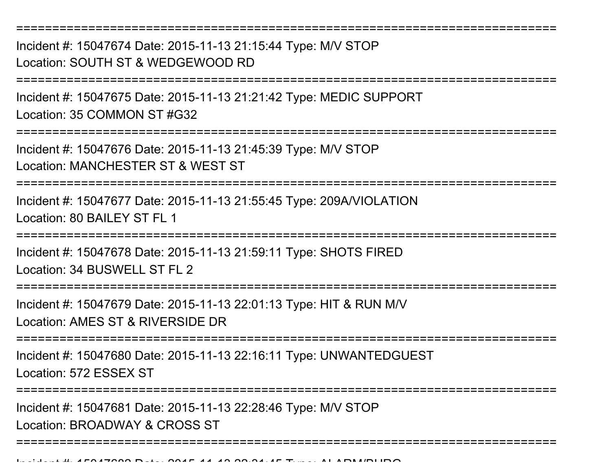===========================================================================Incident #: 15047674 Date: 2015-11-13 21:15:44 Type: M/V STOPLocation: SOUTH ST & WEDGEWOOD RD===========================================================================Incident #: 15047675 Date: 2015-11-13 21:21:42 Type: MEDIC SUPPORTLocation: 35 COMMON ST #G32================= Incident #: 15047676 Date: 2015-11-13 21:45:39 Type: M/V STOPLocation: MANCHESTER ST & WEST ST===========================================================================Incident #: 15047677 Date: 2015-11-13 21:55:45 Type: 209A/VIOLATIONLocation: 80 BAILEY ST FL 1===========================================================================Incident #: 15047678 Date: 2015-11-13 21:59:11 Type: SHOTS FIREDLocation: 34 BUSWELL ST FL 2===========================================================================Incident #: 15047679 Date: 2015-11-13 22:01:13 Type: HIT & RUN M/VLocation: AMES ST & RIVERSIDE DR ===========================================================================Incident #: 15047680 Date: 2015-11-13 22:16:11 Type: UNWANTEDGUESTLocation: 572 ESSEX ST============== Incident #: 15047681 Date: 2015-11-13 22:28:46 Type: M/V STOPLocation: BROADWAY & CROSS ST===========================================================================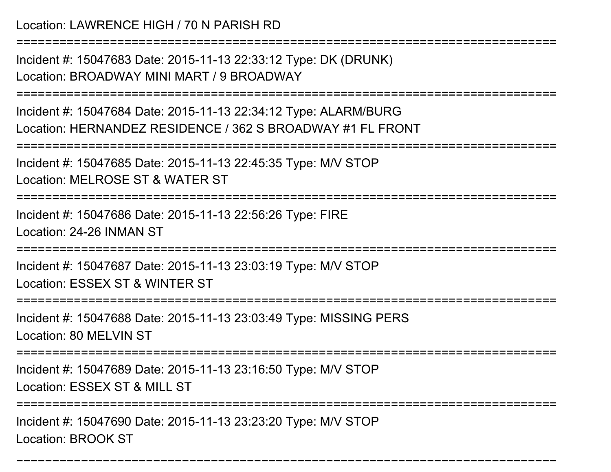Location: LAWRENCE HIGH / 70 N PARISH RD

===========================================================================Incident #: 15047683 Date: 2015-11-13 22:33:12 Type: DK (DRUNK)

Location: BROADWAY MINI MART / 9 BROADWAY

===========================================================================

Incident #: 15047684 Date: 2015-11-13 22:34:12 Type: ALARM/BURGLocation: HERNANDEZ RESIDENCE / 362 S BROADWAY #1 FL FRONT

===========================================================================

Incident #: 15047685 Date: 2015-11-13 22:45:35 Type: M/V STOPLocation: MELROSE ST & WATER ST

===========================================================================

Incident #: 15047686 Date: 2015-11-13 22:56:26 Type: FIRELocation: 24-26 INMAN ST

===========================================================================

Incident #: 15047687 Date: 2015-11-13 23:03:19 Type: M/V STOPLocation: ESSEX ST & WINTER ST

===========================================================================

Incident #: 15047688 Date: 2015-11-13 23:03:49 Type: MISSING PERSLocation: 80 MELVIN ST

===========================================================================

Incident #: 15047689 Date: 2015-11-13 23:16:50 Type: M/V STOP

Location: ESSEX ST & MILL ST

=================

===========================================================================

Incident #: 15047690 Date: 2015-11-13 23:23:20 Type: M/V STOPLocation: BROOK ST